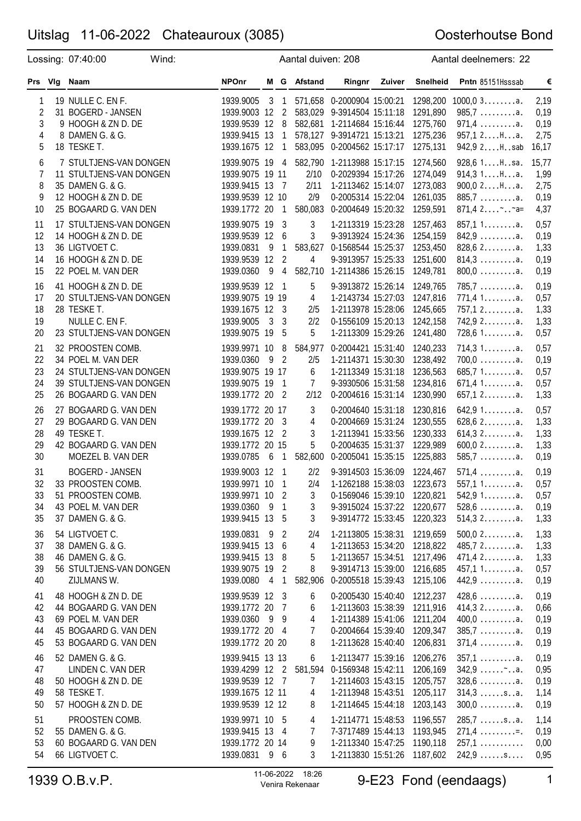## Uitslag 11-06-2022 Chateauroux (3085)

## Oosterhoutse Bond

|                                                           | Lossing: 07:40:00                                                                                                                                    | Wind: |                                                                                                              |              |                                                                   | Aantal duiven: 208                            |                                                                                                                                                                                                        |        |                                                                                  | Aantal deelnemers: 22                                                                                        |                                                        |
|-----------------------------------------------------------|------------------------------------------------------------------------------------------------------------------------------------------------------|-------|--------------------------------------------------------------------------------------------------------------|--------------|-------------------------------------------------------------------|-----------------------------------------------|--------------------------------------------------------------------------------------------------------------------------------------------------------------------------------------------------------|--------|----------------------------------------------------------------------------------|--------------------------------------------------------------------------------------------------------------|--------------------------------------------------------|
| Prs VIg                                                   | Naam                                                                                                                                                 |       | <b>NPOnr</b>                                                                                                 |              |                                                                   | M G Afstand                                   | Ringnr                                                                                                                                                                                                 | Zuiver | <b>Snelheid</b>                                                                  | Pntn 85151Hsssab                                                                                             | $\boldsymbol{\epsilon}$                                |
| 1<br>$\overline{c}$<br>3<br>4<br>5<br>6<br>$\overline{7}$ | 19 NULLE C. EN F.<br>31 BOGERD - JANSEN<br>9 HOOGH & ZN D. DE<br>8 DAMEN G. & G.<br>18 TESKE T.<br>7 STULTJENS-VAN DONGEN<br>11 STULTJENS-VAN DONGEN |       | 1939.9005<br>1939.9003 12<br>1939.9539 12<br>1939.9415 13<br>1939.1675 12<br>1939.9075 19<br>1939.9075 19 11 | $\mathbf{3}$ | 1<br>2<br>- 8<br>1<br>$\mathbf{1}$<br>4                           | 2/10                                          | 571,658 0-2000904 15:00:21<br>583,029 9-3914504 15:11:18<br>582,681 1-2114684 15:16:44<br>578,127 9-3914721 15:13:21<br>583,095 0-2004562 15:17:17<br>582,790 1-2113988 15:17:15<br>0-2029394 15:17:26 |        | 1298,200<br>1291,890<br>1275,760<br>1275,236<br>1275,131<br>1274,560<br>1274,049 | $1000, 03$<br>$985,7 \ldots \ldots a.$<br>$971,4$ a.<br>957,12Ha.<br>942,9 2Hsab<br>928,6 1Hsa.<br>914,31Ha. | 2,19<br>0,19<br>0,19<br>2,75<br>16,17<br>15,77<br>1,99 |
| 8<br>9<br>10                                              | 35 DAMEN G. & G.<br>12 HOOGH & ZN D. DE<br>25 BOGAARD G. VAN DEN                                                                                     |       | 1939.9415 13 7<br>1939.9539 12 10<br>1939.1772 20                                                            |              | 1                                                                 | 2/11<br>2/9<br>580,083                        | 1-2113462 15:14:07<br>0-2005314 15:22:04<br>0-2004649 15:20:32                                                                                                                                         |        | 1273,083<br>1261,035<br>1259,591                                                 | $900,02$ Ha.<br>885,7a.<br>$871,42$ $-a=$                                                                    | 2,75<br>0,19<br>4,37                                   |
| 11<br>12<br>13<br>14<br>15                                | 17 STULTJENS-VAN DONGEN<br>14 HOOGH & ZN D. DE<br>36 LIGTVOET C.<br>16 HOOGH & ZN D. DE<br>22 POEL M. VAN DER                                        |       | 1939.9075 19<br>1939.9539 12<br>1939.0831<br>1939.9539 12<br>1939.0360                                       | - 9<br>-9    | - 3<br>- 6<br>1<br>$\overline{2}$<br>4                            | 3<br>3<br>583,627<br>4                        | 1-2113319 15:23:28<br>9-3913924 15:24:36<br>0-1568544 15:25:37<br>9-3913957 15:25:33<br>582,710 1-2114386 15:26:15                                                                                     |        | 1257,463<br>1254,159<br>1253,450<br>1251,600<br>1249,781                         | 857,11a.<br>$842,9$<br>$828,62$ a.<br>$814,3 \ldots \ldots a.$<br>$800,0$ a.                                 | 0,57<br>0,19<br>1,33<br>0,19<br>0,19                   |
| 16<br>17<br>18<br>19<br>20                                | 41 HOOGH & ZN D. DE<br>20 STULTJENS-VAN DONGEN<br>28 TESKE T.<br>NULLE C. EN F.<br>23 STULTJENS-VAN DONGEN                                           |       | 1939.9539 12<br>1939.9075 19 19<br>1939.1675 12 3<br>1939.9005<br>1939.9075 19                               | $\mathbf{3}$ | $\overline{1}$<br>- 3<br>5                                        | 5<br>4<br>2/5<br>2/2<br>5                     | 9-3913872 15:26:14<br>1-2143734 15:27:03<br>1-2113978 15:28:06<br>0-1556109 15:20:13<br>1-2113309 15:29:26                                                                                             |        | 1249,765<br>1247,816<br>1245,665<br>1242,158<br>1241,480                         | $785,7$ a.<br>771,41a.<br>$757,12$ a.<br>$742,92$ a.<br>728,61a.                                             | 0,19<br>0,57<br>1,33<br>1,33<br>0,57                   |
| 21<br>22<br>23<br>24<br>25                                | 32 PROOSTEN COMB.<br>34 POEL M. VAN DER<br>24 STULTJENS-VAN DONGEN<br>39 STULTJENS-VAN DONGEN<br>26 BOGAARD G. VAN DEN                               |       | 1939.9971 10 8<br>1939.0360 9<br>1939.9075 19 17<br>1939.9075 19 1<br>1939.1772 20 2                         |              | $\overline{\phantom{0}}$                                          | 584,977<br>2/5<br>6<br>$\overline{7}$<br>2/12 | 0-2004421 15:31:40<br>1-2114371 15:30:30<br>1-2113349 15:31:18<br>9-3930506 15:31:58<br>0-2004616 15:31:14                                                                                             |        | 1240,233<br>1238,492<br>1236,563<br>1234,816<br>1230,990                         | 714,31a.<br>$700,0$ a.<br>685,71a.<br>671,41a.<br>$657,12$ a.                                                | 0,57<br>0,19<br>0,57<br>0,57<br>1,33                   |
| 26<br>27<br>28<br>29<br>30                                | 27 BOGAARD G. VAN DEN<br>29 BOGAARD G. VAN DEN<br>49 TESKE T.<br>42 BOGAARD G. VAN DEN<br>MOEZEL B. VAN DER                                          |       | 1939.1772 20 17<br>1939.1772 20 3<br>1939.1675 12 2<br>1939.1772 20 15<br>1939.0785                          | 6            | 1                                                                 | 3<br>4<br>3<br>5<br>582,600                   | 0-2004640 15:31:18<br>0-2004669 15:31:24<br>1-2113941 15:33:56<br>0-2004635 15:31:37<br>0-2005041 15:35:15                                                                                             |        | 1230,816<br>1230,555<br>1230,333<br>1229,989<br>1225,883                         | 642,91a.<br>$628,62$ a.<br>614,32a.<br>$600,02$ a.<br>$585,7 \ldots \ldots a.$                               | 0,57<br>1,33<br>1,33<br>1,33<br>0,19                   |
| 31<br>32<br>33<br>34<br>35                                | <b>BOGERD - JANSEN</b><br>33 PROOSTEN COMB.<br>51 PROOSTEN COMB.<br>43 POEL M. VAN DER<br>37 DAMEN G. & G.                                           |       | 1939.9003 12<br>1939.9971 10<br>1939.9971 10 2<br>1939.0360 9<br>1939.9415 13 5                              |              | - 1<br>- 1<br>$\overline{1}$                                      | 2/2<br>2/4<br>3<br>3<br>3                     | 9-3914503 15:36:09<br>1-1262188 15:38:03<br>0-1569046 15:39:10<br>9-3915024 15:37:22<br>9-3914772 15:33:45                                                                                             |        | 1224,467<br>1223,673<br>1220,821<br>1220,677<br>1220,323                         | $571.4 \ldots \ldots a.$<br>557.11a.<br>542,91a.<br>$528,6$ a.<br>$514,32$ a.                                | 0,19<br>0,57<br>0,57<br>0,19<br>1,33                   |
| 36<br>37<br>38<br>39<br>40                                | 54 LIGTVOET C.<br>38 DAMEN G. & G.<br>46 DAMEN G. & G.<br>56 STULTJENS-VAN DONGEN<br>ZIJLMANS W.                                                     |       | 1939.0831 9<br>1939.9415 13<br>1939.9415 13 8<br>1939.9075 19<br>1939.0080 4                                 |              | $\overline{2}$<br>6<br>$\overline{\phantom{0}}^2$<br>$\mathbf{1}$ | 2/4<br>4<br>5<br>8<br>582,906                 | 1-2113805 15:38:31<br>1-2113653 15:34:20<br>1-2113657 15:34:51<br>9-3914713 15:39:00<br>0-2005518 15:39:43                                                                                             |        | 1219,659<br>1218,822<br>1217,496<br>1216,685<br>1215,106                         | $500,02$ a.<br>485,72a.<br>$471,42$ a.<br>457,11a.<br>$442,9$ a.                                             | 1,33<br>1,33<br>1,33<br>0,57<br>0,19                   |
| 41<br>42<br>43<br>44<br>45                                | 48 HOOGH & ZN D. DE<br>44 BOGAARD G. VAN DEN<br>69 POEL M. VAN DER<br>45 BOGAARD G. VAN DEN<br>53 BOGAARD G. VAN DEN                                 |       | 1939.9539 12 3<br>1939.1772 20<br>1939.0360 9 9<br>1939.1772 20 4<br>1939.1772 20 20                         |              | $\overline{7}$                                                    | 6<br>6<br>4<br>7<br>8                         | 0-2005430 15:40:40<br>1-2113603 15:38:39 1211,916<br>1-2114389 15:41:06 1211,204<br>0-2004664 15:39:40<br>1-2113628 15:40:40                                                                           |        | 1212,237<br>1209,347<br>1206,831                                                 | $428.6 \ldots \ldots a.$<br>414,32a.<br>$400,0$ a.<br>$385,7 \ldots \ldots a.$<br>$371,4$ a.                 | 0,19<br>0,66<br>0,19<br>0,19<br>0,19                   |
| 46<br>47<br>48<br>49<br>50                                | 52 DAMEN G. & G.<br>LINDEN C. VAN DER<br>50 HOOGH & ZN D. DE<br>58 TESKE T.<br>57 HOOGH & ZN D. DE                                                   |       | 1939.9415 13 13<br>1939.4299 12 2<br>1939.9539 12 7<br>1939.1675 12 11<br>1939.9539 12 12                    |              |                                                                   | 6<br>581,594<br>$\overline{7}$<br>4<br>8      | 1-2113477 15:39:16<br>0-1569348 15:42:11<br>1-2114603 15:43:15<br>1-2113948 15:43:51<br>1-2114645 15:44:18                                                                                             |        | 1206,276<br>1206,169<br>1205,757<br>1205,117<br>1203,143                         | $357,1$ a.<br>$342,9$<br>$328,6$<br>$314,3 \ldots$ .sa.<br>$300,0$ a.                                        | 0,19<br>0,95<br>0,19<br>1,14<br>0,19                   |
| 51<br>52<br>53<br>54                                      | PROOSTEN COMB.<br>55 DAMEN G. & G.<br>60 BOGAARD G. VAN DEN<br>66 LIGTVOET C.                                                                        |       | 1939.9971 10 5<br>1939.9415 13 4<br>1939.1772 20 14<br>1939.0831 9 6                                         |              |                                                                   | 4<br>7<br>9<br>3                              | 1-2114771 15:48:53<br>7-3717489 15:44:13 1193,945<br>1-2113340 15:47:25 1190,118<br>1-2113830 15:51:26 1187,602                                                                                        |        | 1196,557                                                                         | $285.7 \ldots$ sa.<br>$271,4$ =<br>$257,1$<br>$242,9 \ldots$ .s                                              | 1,14<br>0,19<br>0,00<br>0,95                           |